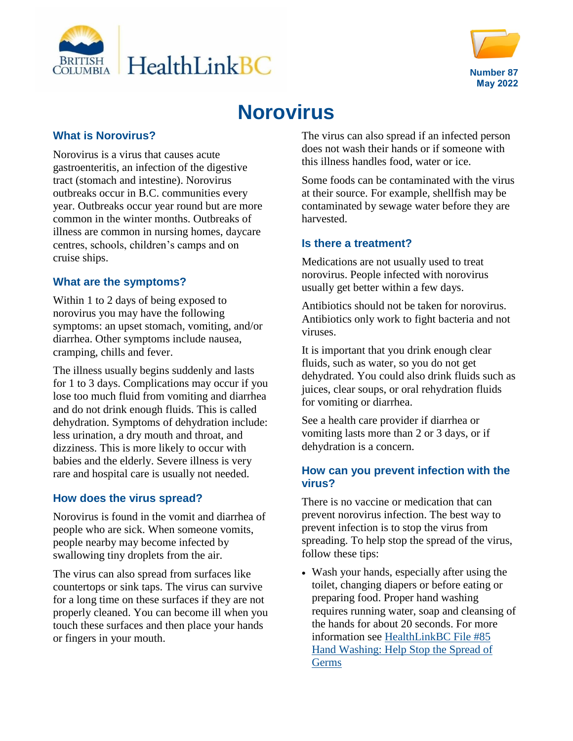



# **Norovirus**

#### **What is Norovirus?**

Norovirus is a virus that causes acute gastroenteritis, an infection of the digestive tract (stomach and intestine). Norovirus outbreaks occur in B.C. communities every year. Outbreaks occur year round but are more common in the winter months. Outbreaks of illness are common in nursing homes, daycare centres, schools, children's camps and on cruise ships.

# **What are the symptoms?**

Within 1 to 2 days of being exposed to norovirus you may have the following symptoms: an upset stomach, vomiting, and/or diarrhea. Other symptoms include nausea, cramping, chills and fever.

The illness usually begins suddenly and lasts for 1 to 3 days. Complications may occur if you lose too much fluid from vomiting and diarrhea and do not drink enough fluids. This is called dehydration. Symptoms of dehydration include: less urination, a dry mouth and throat, and dizziness. This is more likely to occur with babies and the elderly. Severe illness is very rare and hospital care is usually not needed.

# **How does the virus spread?**

Norovirus is found in the vomit and diarrhea of people who are sick. When someone vomits, people nearby may become infected by swallowing tiny droplets from the air.

The virus can also spread from surfaces like countertops or sink taps. The virus can survive for a long time on these surfaces if they are not properly cleaned. You can become ill when you touch these surfaces and then place your hands or fingers in your mouth.

The virus can also spread if an infected person does not wash their hands or if someone with this illness handles food, water or ice.

Some foods can be contaminated with the virus at their source. For example, shellfish may be contaminated by sewage water before they are harvested.

# **Is there a treatment?**

Medications are not usually used to treat norovirus. People infected with norovirus usually get better within a few days.

Antibiotics should not be taken for norovirus. Antibiotics only work to fight bacteria and not viruses.

It is important that you drink enough clear fluids, such as water, so you do not get dehydrated. You could also drink fluids such as juices, clear soups, or oral rehydration fluids for vomiting or diarrhea.

See a health care provider if diarrhea or vomiting lasts more than 2 or 3 days, or if dehydration is a concern.

#### **How can you prevent infection with the virus?**

There is no vaccine or medication that can prevent norovirus infection. The best way to prevent infection is to stop the virus from spreading. To help stop the spread of the virus, follow these tips:

 Wash your hands, especially after using the toilet, changing diapers or before eating or preparing food. Proper hand washing requires running water, soap and cleansing of the hands for about 20 seconds. For more information see [HealthLinkBC File #85](https://www.healthlinkbc.ca/healthlinkbc-files/hand-washing)  [Hand Washing: Help Stop the Spread of](https://www.healthlinkbc.ca/healthlinkbc-files/hand-washing)  **[Germs](https://www.healthlinkbc.ca/healthlinkbc-files/hand-washing)**